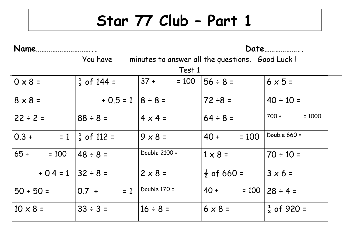## **Star 77 Club – Part 1**

| Name                   |                          |                   | Date                                            |                        |  |
|------------------------|--------------------------|-------------------|-------------------------------------------------|------------------------|--|
|                        | You have                 |                   | minutes to answer all the questions. Good Luck! |                        |  |
|                        |                          | Test 1            |                                                 |                        |  |
| $0 \times 8 =$         | $\frac{1}{2}$ of 144 =   | $37 +$<br>$= 100$ | $56 \div 8 =$                                   | $6 \times 5 =$         |  |
| $8 \times 8 =$         | $+ 0.5 = 1   8 \div 8 =$ |                   | $72 \div 8 =$                                   | $40 \div 10 =$         |  |
| $22 \div 2 =$          | $88 \div 8 =$            | $4 \times 4 =$    | $64 \div 8 =$                                   | $700 +$<br>$= 1000$    |  |
| $= 1$<br>$0.3 +$       | $\frac{1}{2}$ of 112 =   | $9 \times 8 =$    | $40 +$<br>$= 100$                               | Double 660 =           |  |
| $65 +$<br>$= 100$      | $48 \div 8 =$            | Double 2100 =     | $1 \times 8 =$                                  | $70 \div 10 =$         |  |
| $+ 0.4 = 1$   32 ÷ 8 = |                          | $2 \times 8 =$    | $\frac{1}{2}$ of 660 =                          | $3 \times 6 =$         |  |
| $50 + 50 =$            | $= 1$<br>$0.7 +$         | Double 170 =      | $40 +$<br>$= 100$                               | $28 \div 4 =$          |  |
| $10 \times 8 =$        | $33 \div 3 =$            | $16 \div 8 =$     | $6 \times 8 =$                                  | $\frac{1}{2}$ of 920 = |  |